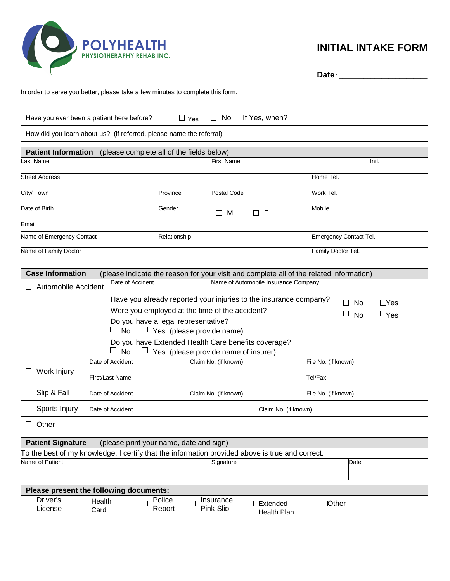

## **INITIAL INTAKE FORM**

**Date** : \_\_\_\_\_\_\_\_\_\_\_\_\_\_\_\_\_\_\_\_\_\_\_\_\_

In order to serve you better, please take a few minutes to complete this form.

| $\Box$ No<br>If Yes, when?<br>Have you ever been a patient here before?<br>$\Box$ Yes                              |                                                                   |                                   |  |  |  |  |
|--------------------------------------------------------------------------------------------------------------------|-------------------------------------------------------------------|-----------------------------------|--|--|--|--|
| How did you learn about us? (if referred, please name the referral)                                                |                                                                   |                                   |  |  |  |  |
| <b>Patient Information</b>                                                                                         | (please complete all of the fields below)                         |                                   |  |  |  |  |
| Last Name                                                                                                          | <b>First Name</b>                                                 | Intl.                             |  |  |  |  |
| <b>Street Address</b>                                                                                              |                                                                   | Home Tel.                         |  |  |  |  |
| City/ Town                                                                                                         | <b>Postal Code</b><br>Province                                    | Work Tel.                         |  |  |  |  |
| Date of Birth                                                                                                      | Gender<br>$\square$ F<br>$\Box$ M                                 | <b>Mobile</b>                     |  |  |  |  |
| Email                                                                                                              |                                                                   |                                   |  |  |  |  |
| Name of Emergency Contact                                                                                          | Emergency Contact Tel.<br>Relationship                            |                                   |  |  |  |  |
| Name of Family Doctor                                                                                              | Family Doctor Tel.                                                |                                   |  |  |  |  |
| <b>Case Information</b><br>(please indicate the reason for your visit and complete all of the related information) |                                                                   |                                   |  |  |  |  |
| Date of Accident<br>Automobile Accident                                                                            | Name of Automobile Insurance Company                              |                                   |  |  |  |  |
|                                                                                                                    | Have you already reported your injuries to the insurance company? | $D$ Yes<br><b>No</b>              |  |  |  |  |
| Were you employed at the time of the accident?<br>$\Box$ Yes<br>⊔                                                  |                                                                   |                                   |  |  |  |  |
| <b>No</b><br>Do you have a legal representative?<br>$\Box$ No<br>$\Box$ Yes (please provide name)                  |                                                                   |                                   |  |  |  |  |
| Do you have Extended Health Care benefits coverage?                                                                |                                                                   |                                   |  |  |  |  |
| <b>No</b><br>ப                                                                                                     | $\Box$ Yes (please provide name of insurer)                       |                                   |  |  |  |  |
| Date of Accident                                                                                                   | Claim No. (if known)<br>File No. (if known)                       |                                   |  |  |  |  |
| Work Injury<br>First/Last Name                                                                                     | Tel/Fax                                                           |                                   |  |  |  |  |
| Slip & Fall<br>Date of Accident                                                                                    | Claim No. (if known)<br>File No. (if known)                       |                                   |  |  |  |  |
| Sports Injury<br>Date of Accident                                                                                  | Claim No. (if known)                                              |                                   |  |  |  |  |
| Other                                                                                                              |                                                                   |                                   |  |  |  |  |
| <b>Patient Signature</b><br>(please print your name, date and sign)                                                |                                                                   |                                   |  |  |  |  |
| To the best of my knowledge, I certify that the information provided above is true and correct.                    |                                                                   |                                   |  |  |  |  |
| Name of Patient                                                                                                    | Signature                                                         | Date                              |  |  |  |  |
| Please present the following documents:                                                                            |                                                                   |                                   |  |  |  |  |
| Driver's<br>Health<br>License<br>Card                                                                              | Police<br>Insurance<br>$\mathbf{I}$<br>Pink Slip<br>Report        | Extended<br>Dother<br>Health Plan |  |  |  |  |